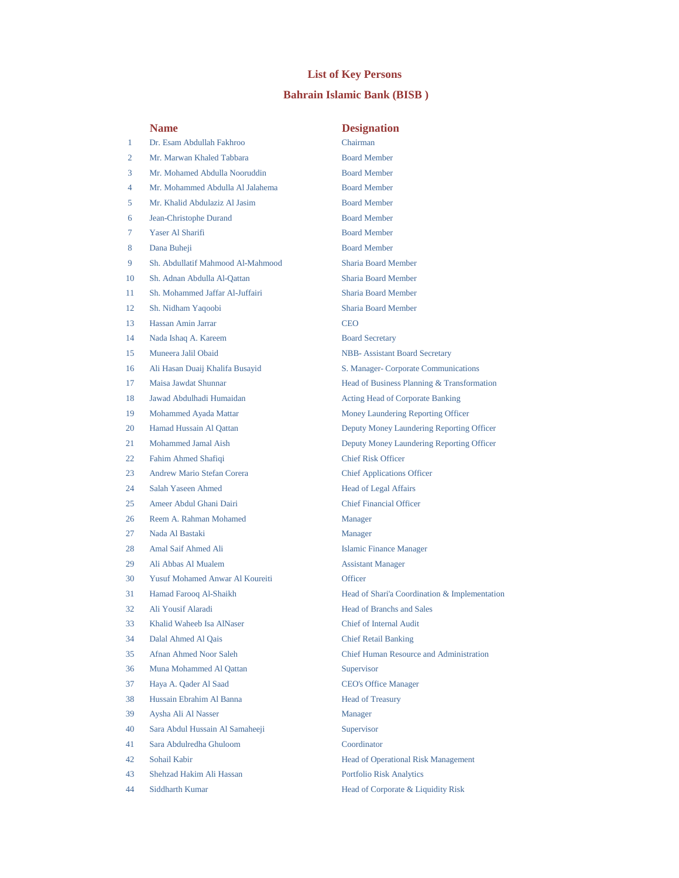## **List of Key Persons**

## **Bahrain Islamic Bank (BISB )**

|    | <b>Name</b>                            | <b>Designation</b>                             |
|----|----------------------------------------|------------------------------------------------|
| 1  | Dr. Esam Abdullah Fakhroo              | Chairman                                       |
| 2  | Mr. Marwan Khaled Tabbara              | <b>Board Member</b>                            |
| 3  | Mr. Mohamed Abdulla Nooruddin          | <b>Board Member</b>                            |
| 4  | Mr. Mohammed Abdulla Al Jalahema       | <b>Board Member</b>                            |
| 5  | Mr. Khalid Abdulaziz Al Jasim          | <b>Board Member</b>                            |
| 6  | Jean-Christophe Durand                 | <b>Board Member</b>                            |
| 7  | Yaser Al Sharifi                       | <b>Board Member</b>                            |
| 8  | Dana Buheji                            | <b>Board Member</b>                            |
| 9  | Sh. Abdullatif Mahmood Al-Mahmood      | <b>Sharia Board Member</b>                     |
| 10 | Sh. Adnan Abdulla Al-Qattan            | <b>Sharia Board Member</b>                     |
| 11 | Sh. Mohammed Jaffar Al-Juffairi        | <b>Sharia Board Member</b>                     |
| 12 | Sh. Nidham Yaqoobi                     | <b>Sharia Board Member</b>                     |
| 13 | Hassan Amin Jarrar                     | <b>CEO</b>                                     |
| 14 | Nada Ishaq A. Kareem                   | <b>Board Secretary</b>                         |
| 15 | Muneera Jalil Obaid                    | <b>NBB-</b> Assistant Board Secretary          |
| 16 | Ali Hasan Duaij Khalifa Busayid        | S. Manager- Corporate Communications           |
| 17 | Maisa Jawdat Shunnar                   | Head of Business Planning & Transformation     |
| 18 | Jawad Abdulhadi Humaidan               | Acting Head of Corporate Banking               |
| 19 | Mohammed Ayada Mattar                  | Money Laundering Reporting Officer             |
| 20 | Hamad Hussain Al Oattan                | Deputy Money Laundering Reporting Officer      |
| 21 | Mohammed Jamal Aish                    | Deputy Money Laundering Reporting Officer      |
| 22 | Fahim Ahmed Shafiqi                    | <b>Chief Risk Officer</b>                      |
| 23 | Andrew Mario Stefan Corera             | <b>Chief Applications Officer</b>              |
| 24 | Salah Yaseen Ahmed                     | <b>Head of Legal Affairs</b>                   |
| 25 | Ameer Abdul Ghani Dairi                | <b>Chief Financial Officer</b>                 |
| 26 | Reem A. Rahman Mohamed                 | Manager                                        |
| 27 | Nada Al Bastaki                        | <b>Manager</b>                                 |
| 28 | Amal Saif Ahmed Ali                    | <b>Islamic Finance Manager</b>                 |
| 29 | Ali Abbas Al Mualem                    | <b>Assistant Manager</b>                       |
| 30 | <b>Yusuf Mohamed Anwar Al Koureiti</b> | Officer                                        |
| 31 | Hamad Farooq Al-Shaikh                 | Head of Shari'a Coordination & Implementation  |
| 32 | Ali Yousif Alaradi                     | <b>Head of Branchs and Sales</b>               |
| 33 | Khalid Waheeb Isa AlNaser              | <b>Chief of Internal Audit</b>                 |
| 34 | Dalal Ahmed Al Qais                    | <b>Chief Retail Banking</b>                    |
| 35 | Afnan Ahmed Noor Saleh                 | <b>Chief Human Resource and Administration</b> |
| 36 | Muna Mohammed Al Qattan                | Supervisor                                     |
| 37 | Haya A. Qader Al Saad                  | <b>CEO's Office Manager</b>                    |
| 38 | Hussain Ebrahim Al Banna               | <b>Head of Treasury</b>                        |
| 39 | Aysha Ali Al Nasser                    | Manager                                        |
| 40 | Sara Abdul Hussain Al Samaheeji        | Supervisor                                     |
| 41 | Sara Abdulredha Ghuloom                | Coordinator                                    |
| 42 | Sohail Kabir                           | Head of Operational Risk Management            |
| 43 | Shehzad Hakim Ali Hassan               | <b>Portfolio Risk Analytics</b>                |
| 44 | Siddharth Kumar                        | Head of Corporate & Liquidity Risk             |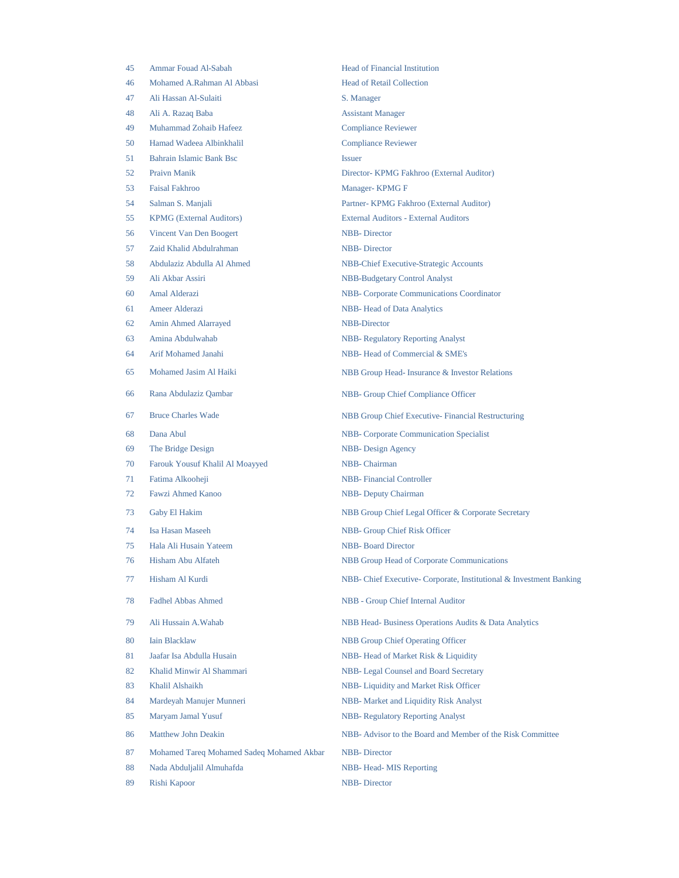| 45 | Ammar Fouad Al-Sabah                      | <b>Head of Financial Institution</b>                               |
|----|-------------------------------------------|--------------------------------------------------------------------|
| 46 | Mohamed A.Rahman Al Abbasi                | <b>Head of Retail Collection</b>                                   |
| 47 | Ali Hassan Al-Sulaiti                     | S. Manager                                                         |
| 48 | Ali A. Razaq Baba                         | <b>Assistant Manager</b>                                           |
| 49 | Muhammad Zohaib Hafeez                    | <b>Compliance Reviewer</b>                                         |
| 50 | Hamad Wadeea Albinkhalil                  | <b>Compliance Reviewer</b>                                         |
| 51 | Bahrain Islamic Bank Bsc                  | <b>Issuer</b>                                                      |
| 52 | <b>Praivn Manik</b>                       | Director- KPMG Fakhroo (External Auditor)                          |
| 53 | <b>Faisal Fakhroo</b>                     | Manager- KPMG F                                                    |
| 54 | Salman S. Manjali                         | Partner- KPMG Fakhroo (External Auditor)                           |
| 55 | <b>KPMG</b> (External Auditors)           | <b>External Auditors - External Auditors</b>                       |
| 56 | Vincent Van Den Boogert                   | <b>NBB-Director</b>                                                |
| 57 | Zaid Khalid Abdulrahman                   | <b>NBB-Director</b>                                                |
| 58 | Abdulaziz Abdulla Al Ahmed                | <b>NBB-Chief Executive-Strategic Accounts</b>                      |
| 59 | Ali Akbar Assiri                          | <b>NBB-Budgetary Control Analyst</b>                               |
| 60 | Amal Alderazi                             | <b>NBB-</b> Corporate Communications Coordinator                   |
| 61 | <b>Ameer Alderazi</b>                     | NBB-Head of Data Analytics                                         |
| 62 | Amin Ahmed Alarrayed                      | <b>NBB-Director</b>                                                |
| 63 | Amina Abdulwahab                          | <b>NBB-Regulatory Reporting Analyst</b>                            |
| 64 | Arif Mohamed Janahi                       | NBB-Head of Commercial & SME's                                     |
| 65 | Mohamed Jasim Al Haiki                    | NBB Group Head-Insurance & Investor Relations                      |
| 66 | Rana Abdulaziz Qambar                     | NBB- Group Chief Compliance Officer                                |
| 67 | <b>Bruce Charles Wade</b>                 | NBB Group Chief Executive-Financial Restructuring                  |
| 68 | Dana Abul                                 | <b>NBB-</b> Corporate Communication Specialist                     |
| 69 | The Bridge Design                         | NBB-Design Agency                                                  |
| 70 | Farouk Yousuf Khalil Al Moayyed           | NBB-Chairman                                                       |
| 71 | Fatima Alkooheji                          | <b>NBB-</b> Financial Controller                                   |
| 72 | <b>Fawzi Ahmed Kanoo</b>                  | <b>NBB-</b> Deputy Chairman                                        |
| 73 | Gaby El Hakim                             | NBB Group Chief Legal Officer & Corporate Secretary                |
| 74 | Isa Hasan Maseeh                          | NBB- Group Chief Risk Officer                                      |
| 75 | Hala Ali Husain Yateem                    | <b>NBB-</b> Board Director                                         |
| 76 | Hisham Abu Alfateh                        | <b>NBB Group Head of Corporate Communications</b>                  |
| 77 | Hisham Al Kurdi                           | NBB- Chief Executive-Corporate, Institutional & Investment Banking |
| 78 | <b>Fadhel Abbas Ahmed</b>                 | <b>NBB</b> - Group Chief Internal Auditor                          |
| 79 | Ali Hussain A.Wahab                       | NBB Head-Business Operations Audits & Data Analytics               |
| 80 | <b>Iain Blacklaw</b>                      | <b>NBB Group Chief Operating Officer</b>                           |
| 81 | Jaafar Isa Abdulla Husain                 | NBB- Head of Market Risk & Liquidity                               |
| 82 | Khalid Minwir Al Shammari                 | NBB- Legal Counsel and Board Secretary                             |
| 83 | Khalil Alshaikh                           | NBB- Liquidity and Market Risk Officer                             |
| 84 | Mardeyah Manujer Munneri                  | NBB- Market and Liquidity Risk Analyst                             |
| 85 | Maryam Jamal Yusuf                        | <b>NBB- Regulatory Reporting Analyst</b>                           |
| 86 | Matthew John Deakin                       | NBB- Advisor to the Board and Member of the Risk Committee         |
| 87 | Mohamed Tareq Mohamed Sadeq Mohamed Akbar | <b>NBB-Director</b>                                                |
| 88 | Nada Abduljalil Almuhafda                 | NBB-Head-MIS Reporting                                             |
| 89 | Rishi Kapoor                              | <b>NBB-Director</b>                                                |
|    |                                           |                                                                    |